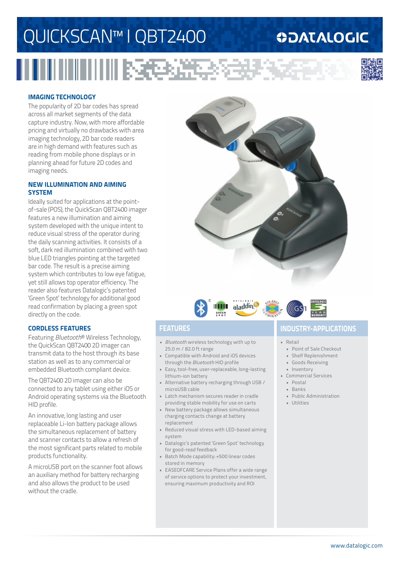# QUICKSCAN™ I QBT2400

## **ODATALOGIC**



## **IMAGING TECHNOLOGY**

The popularity of 2D bar codes has spread across all market segments of the data capture industry. Now, with more affordable pricing and virtually no drawbacks with area imaging technology, 2D bar code readers are in high demand with features such as reading from mobile phone displays or in planning ahead for future 2D codes and imaging needs.

## **NEW ILLUMINATION AND AIMING SYSTEM**

Ideally suited for applications at the pointof-sale (POS), the QuickScan QBT2400 imager features a new illumination and aiming system developed with the unique intent to reduce visual stress of the operator during the daily scanning activities. It consists of a soft, dark red illumination combined with two blue LED triangles pointing at the targeted bar code. The result is a precise aiming system which contributes to low eye fatigue, yet still allows top operator efficiency. The reader also features Datalogic's patented 'Green Spot' technology for additional good read confirmation by placing a green spot directly on the code.

## **CORDLESS FEATURES**

Featuring *Bluetooth*® Wireless Technology, the QuickScan QBT2400 2D imager can transmit data to the host through its base station as well as to any commercial or embedded Bluetooth compliant device.

The QBT2400 2D imager can also be connected to any tablet using either iOS or Android operating systems via the Bluetooth HID profile.

An innovative, long lasting and user replaceable Li-Ion battery package allows the simultaneous replacement of battery and scanner contacts to allow a refresh of the most significant parts related to mobile products functionality.

A microUSB port on the scanner foot allows an auxiliary method for battery recharging and also allows the product to be used without the cradle.





- *• Bluetooth* wireless technology with up to 25.0 m / 82.0 ft range
- Compatible with Android and iOS devices through the *Bluetooth* HID profile
- Easy, tool-free, user-replaceable, long-lasting lithium-ion battery
- Alternative battery recharging through USB / microUSB cable
- Latch mechanism secures reader in cradle providing stable mobility for use on carts
- New battery package allows simultaneous charging contacts change at battery replacement
- Reduced visual stress with LED-based aiming system
- Datalogic's patented 'Green Spot' technology for good-read feedback
- Batch Mode capability: +500 linear codes stored in memory
- EASEOFCARE Service Plans offer a wide range of service options to protect your investment, ensuring maximum productivity and ROI

## **FEATURES INDUSTRY-APPLICATIONS**

• Retail

- Point of Sale Checkout
- Shelf Replenishment
- Goods Receiving
- Inventory
- Commercial Services
- Postal
- Banks
- Public Administration
- Utilities